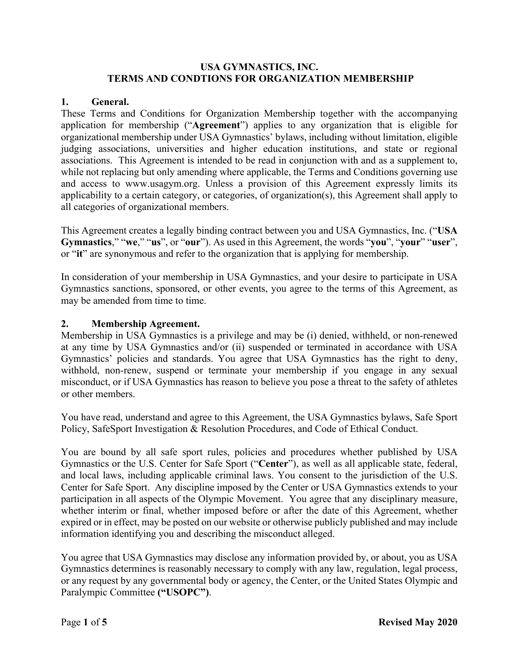#### **USA GYMNASTICS, INC. TERMS AND CONDTIONS FOR ORGANIZATION MEMBERSHIP**

#### **1. General.**

These Terms and Conditions for Organization Membership together with the accompanying application for membership ("**Agreement**") applies to any organization that is eligible for organizational membership under USA Gymnastics' bylaws, including without limitation, eligible judging associations, universities and higher education institutions, and state or regional associations. This Agreement is intended to be read in conjunction with and as a supplement to, while not replacing but only amending where applicable, the Terms and Conditions governing use and access to www.usagym.org. Unless a provision of this Agreement expressly limits its applicability to a certain category, or categories, of organization(s), this Agreement shall apply to all categories of organizational members.

This Agreement creates a legally binding contract between you and USA Gymnastics, Inc. ("**USA Gymnastics**," "**we**," "**us**", or "**our**"). As used in this Agreement, the words "**you**", "**your**" "**user**", or "**it**" are synonymous and refer to the organization that is applying for membership.

In consideration of your membership in USA Gymnastics, and your desire to participate in USA Gymnastics sanctions, sponsored, or other events, you agree to the terms of this Agreement, as may be amended from time to time.

#### **2. Membership Agreement.**

Membership in USA Gymnastics is a privilege and may be (i) denied, withheld, or non-renewed at any time by USA Gymnastics and/or (ii) suspended or terminated in accordance with USA Gymnastics' policies and standards. You agree that USA Gymnastics has the right to deny, withhold, non-renew, suspend or terminate your membership if you engage in any sexual misconduct, or if USA Gymnastics has reason to believe you pose a threat to the safety of athletes or other members.

You have read, understand and agree to this Agreement, the USA Gymnastics bylaws, Safe Sport Policy, SafeSport Investigation & Resolution Procedures, and Code of Ethical Conduct.

You are bound by all safe sport rules, policies and procedures whether published by USA Gymnastics or the U.S. Center for Safe Sport ("**Center**"), as well as all applicable state, federal, and local laws, including applicable criminal laws. You consent to the jurisdiction of the U.S. Center for Safe Sport. Any discipline imposed by the Center or USA Gymnastics extends to your participation in all aspects of the Olympic Movement. You agree that any disciplinary measure, whether interim or final, whether imposed before or after the date of this Agreement, whether expired or in effect, may be posted on our website or otherwise publicly published and may include information identifying you and describing the misconduct alleged.

You agree that USA Gymnastics may disclose any information provided by, or about, you as USA Gymnastics determines is reasonably necessary to comply with any law, regulation, legal process, or any request by any governmental body or agency, the Center, or the United States Olympic and Paralympic Committee **("USOPC")**.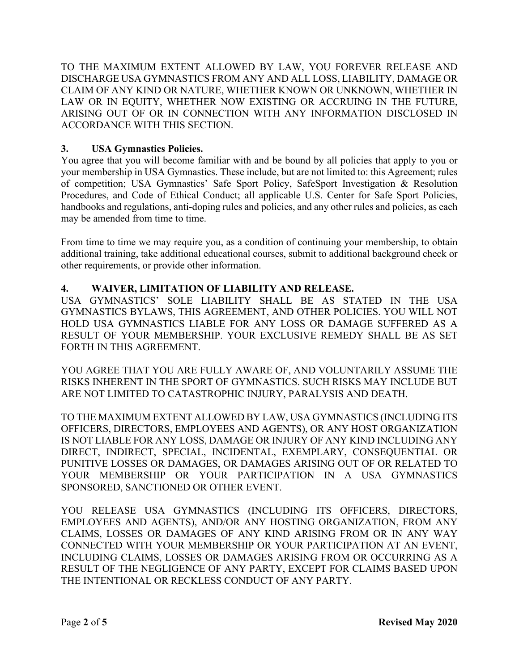TO THE MAXIMUM EXTENT ALLOWED BY LAW, YOU FOREVER RELEASE AND DISCHARGE USA GYMNASTICS FROM ANY AND ALL LOSS, LIABILITY, DAMAGE OR CLAIM OF ANY KIND OR NATURE, WHETHER KNOWN OR UNKNOWN, WHETHER IN LAW OR IN EQUITY, WHETHER NOW EXISTING OR ACCRUING IN THE FUTURE, ARISING OUT OF OR IN CONNECTION WITH ANY INFORMATION DISCLOSED IN ACCORDANCE WITH THIS SECTION.

## **3. USA Gymnastics Policies.**

You agree that you will become familiar with and be bound by all policies that apply to you or your membership in USA Gymnastics. These include, but are not limited to: this Agreement; rules of competition; USA Gymnastics' Safe Sport Policy, SafeSport Investigation & Resolution Procedures, and Code of Ethical Conduct; all applicable U.S. Center for Safe Sport Policies, handbooks and regulations, anti-doping rules and policies, and any other rules and policies, as each may be amended from time to time.

From time to time we may require you, as a condition of continuing your membership, to obtain additional training, take additional educational courses, submit to additional background check or other requirements, or provide other information.

## **4. WAIVER, LIMITATION OF LIABILITY AND RELEASE.**

USA GYMNASTICS' SOLE LIABILITY SHALL BE AS STATED IN THE USA GYMNASTICS BYLAWS, THIS AGREEMENT, AND OTHER POLICIES. YOU WILL NOT HOLD USA GYMNASTICS LIABLE FOR ANY LOSS OR DAMAGE SUFFERED AS A RESULT OF YOUR MEMBERSHIP. YOUR EXCLUSIVE REMEDY SHALL BE AS SET FORTH IN THIS AGREEMENT.

YOU AGREE THAT YOU ARE FULLY AWARE OF, AND VOLUNTARILY ASSUME THE RISKS INHERENT IN THE SPORT OF GYMNASTICS. SUCH RISKS MAY INCLUDE BUT ARE NOT LIMITED TO CATASTROPHIC INJURY, PARALYSIS AND DEATH.

TO THE MAXIMUM EXTENT ALLOWED BY LAW, USA GYMNASTICS (INCLUDING ITS OFFICERS, DIRECTORS, EMPLOYEES AND AGENTS), OR ANY HOST ORGANIZATION IS NOT LIABLE FOR ANY LOSS, DAMAGE OR INJURY OF ANY KIND INCLUDING ANY DIRECT, INDIRECT, SPECIAL, INCIDENTAL, EXEMPLARY, CONSEQUENTIAL OR PUNITIVE LOSSES OR DAMAGES, OR DAMAGES ARISING OUT OF OR RELATED TO YOUR MEMBERSHIP OR YOUR PARTICIPATION IN A USA GYMNASTICS SPONSORED, SANCTIONED OR OTHER EVENT.

YOU RELEASE USA GYMNASTICS (INCLUDING ITS OFFICERS, DIRECTORS, EMPLOYEES AND AGENTS), AND/OR ANY HOSTING ORGANIZATION, FROM ANY CLAIMS, LOSSES OR DAMAGES OF ANY KIND ARISING FROM OR IN ANY WAY CONNECTED WITH YOUR MEMBERSHIP OR YOUR PARTICIPATION AT AN EVENT, INCLUDING CLAIMS, LOSSES OR DAMAGES ARISING FROM OR OCCURRING AS A RESULT OF THE NEGLIGENCE OF ANY PARTY, EXCEPT FOR CLAIMS BASED UPON THE INTENTIONAL OR RECKLESS CONDUCT OF ANY PARTY.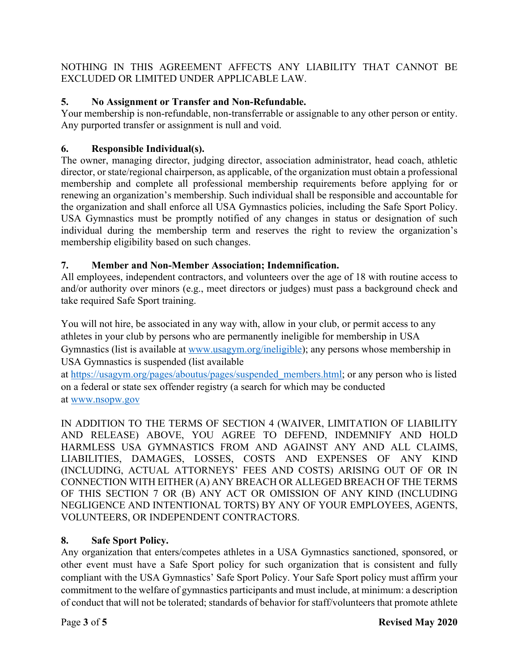NOTHING IN THIS AGREEMENT AFFECTS ANY LIABILITY THAT CANNOT BE EXCLUDED OR LIMITED UNDER APPLICABLE LAW.

# **5. No Assignment or Transfer and Non-Refundable.**

Your membership is non-refundable, non-transferrable or assignable to any other person or entity. Any purported transfer or assignment is null and void.

# **6. Responsible Individual(s).**

The owner, managing director, judging director, association administrator, head coach, athletic director, or state/regional chairperson, as applicable, of the organization must obtain a professional membership and complete all professional membership requirements before applying for or renewing an organization's membership. Such individual shall be responsible and accountable for the organization and shall enforce all USA Gymnastics policies, including the Safe Sport Policy. USA Gymnastics must be promptly notified of any changes in status or designation of such individual during the membership term and reserves the right to review the organization's membership eligibility based on such changes.

# **7. Member and Non-Member Association; Indemnification.**

All employees, independent contractors, and volunteers over the age of 18 with routine access to and/or authority over minors (e.g., meet directors or judges) must pass a background check and take required Safe Sport training.

You will not hire, be associated in any way with, allow in your club, or permit access to any athletes in your club by persons who are permanently ineligible for membership in USA Gymnastics (list is available at www.usagym.org/ineligible); any persons whose membership in USA Gymnastics is suspended (list available

at https://usagym.org/pages/aboutus/pages/suspended\_members.html; or any person who is listed on a federal or state sex offender registry (a search for which may be conducted at www.nsopw.gov

IN ADDITION TO THE TERMS OF SECTION 4 (WAIVER, LIMITATION OF LIABILITY AND RELEASE) ABOVE, YOU AGREE TO DEFEND, INDEMNIFY AND HOLD HARMLESS USA GYMNASTICS FROM AND AGAINST ANY AND ALL CLAIMS, LIABILITIES, DAMAGES, LOSSES, COSTS AND EXPENSES OF ANY KIND (INCLUDING, ACTUAL ATTORNEYS' FEES AND COSTS) ARISING OUT OF OR IN CONNECTION WITH EITHER (A) ANY BREACH OR ALLEGED BREACH OF THE TERMS OF THIS SECTION 7 OR (B) ANY ACT OR OMISSION OF ANY KIND (INCLUDING NEGLIGENCE AND INTENTIONAL TORTS) BY ANY OF YOUR EMPLOYEES, AGENTS, VOLUNTEERS, OR INDEPENDENT CONTRACTORS.

# **8. Safe Sport Policy.**

Any organization that enters/competes athletes in a USA Gymnastics sanctioned, sponsored, or other event must have a Safe Sport policy for such organization that is consistent and fully compliant with the USA Gymnastics' Safe Sport Policy. Your Safe Sport policy must affirm your commitment to the welfare of gymnastics participants and must include, at minimum: a description of conduct that will not be tolerated; standards of behavior for staff/volunteers that promote athlete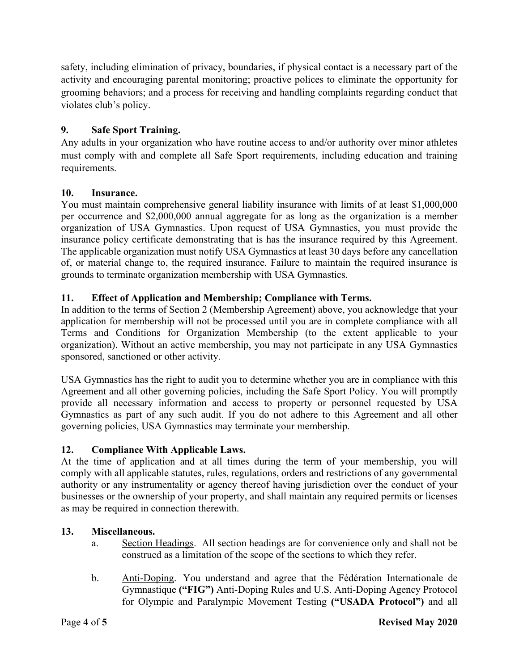safety, including elimination of privacy, boundaries, if physical contact is a necessary part of the activity and encouraging parental monitoring; proactive polices to eliminate the opportunity for grooming behaviors; and a process for receiving and handling complaints regarding conduct that violates club's policy.

## **9. Safe Sport Training.**

Any adults in your organization who have routine access to and/or authority over minor athletes must comply with and complete all Safe Sport requirements, including education and training requirements.

### **10. Insurance.**

You must maintain comprehensive general liability insurance with limits of at least \$1,000,000 per occurrence and \$2,000,000 annual aggregate for as long as the organization is a member organization of USA Gymnastics. Upon request of USA Gymnastics, you must provide the insurance policy certificate demonstrating that is has the insurance required by this Agreement. The applicable organization must notify USA Gymnastics at least 30 days before any cancellation of, or material change to, the required insurance. Failure to maintain the required insurance is grounds to terminate organization membership with USA Gymnastics.

## **11. Effect of Application and Membership; Compliance with Terms.**

In addition to the terms of Section 2 (Membership Agreement) above, you acknowledge that your application for membership will not be processed until you are in complete compliance with all Terms and Conditions for Organization Membership (to the extent applicable to your organization). Without an active membership, you may not participate in any USA Gymnastics sponsored, sanctioned or other activity.

USA Gymnastics has the right to audit you to determine whether you are in compliance with this Agreement and all other governing policies, including the Safe Sport Policy. You will promptly provide all necessary information and access to property or personnel requested by USA Gymnastics as part of any such audit. If you do not adhere to this Agreement and all other governing policies, USA Gymnastics may terminate your membership.

### **12. Compliance With Applicable Laws.**

At the time of application and at all times during the term of your membership, you will comply with all applicable statutes, rules, regulations, orders and restrictions of any governmental authority or any instrumentality or agency thereof having jurisdiction over the conduct of your businesses or the ownership of your property, and shall maintain any required permits or licenses as may be required in connection therewith.

## **13. Miscellaneous.**

- a. Section Headings. All section headings are for convenience only and shall not be construed as a limitation of the scope of the sections to which they refer.
- b. Anti-Doping. You understand and agree that the Fédération Internationale de Gymnastique **("FIG")** Anti-Doping Rules and U.S. Anti-Doping Agency Protocol for Olympic and Paralympic Movement Testing **("USADA Protocol")** and all